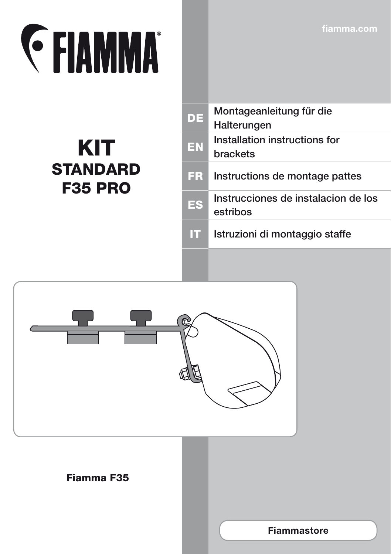**fiamma.com**

## **EXAMMA**

## KIT **STANDARD** F35 PRO

| DE | Montageanleitung für die<br>Halterungen         |
|----|-------------------------------------------------|
| EN | Installation instructions for<br>brackets       |
| ER | Instructions de montage pattes                  |
| ES | Instrucciones de instalacion de los<br>estribos |
|    | Istruzioni di montaggio staffe                  |
|    |                                                 |



## Fiamma F35

**Fiammastore**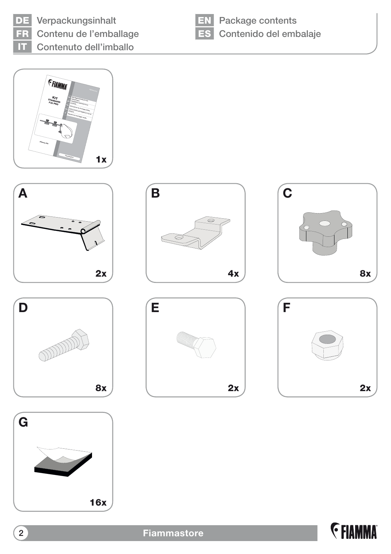

DE Verpackungsinhalt Contenu de l'emballage IT Contenuto dell'imballo



**EN** Package contents ES Contenido del embalaje

















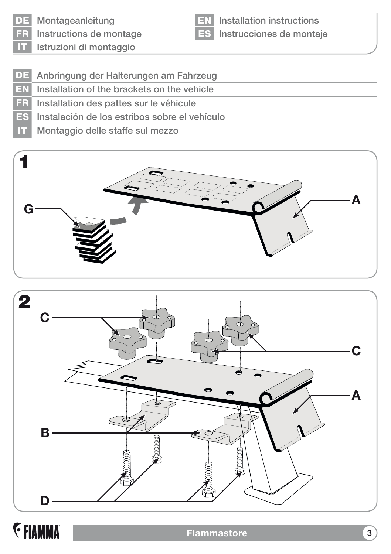DE Montageanleitung

Instructions de montage

EN Installation instructions ES Instrucciones de montaje

Istruzioni di montaggio

- DE Anbringung der Halterungen am Fahrzeug
- EN Installation of the brackets on the vehicle
- FR Installation des pattes sur le véhicule
- ES Instalación de los estribos sobre el vehículo
- IT Montaggio delle staffe sul mezzo





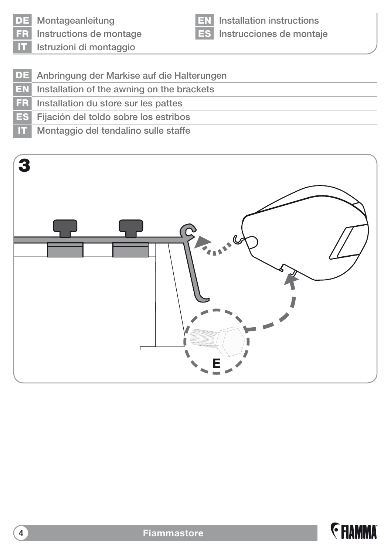

DE Montageanleitung

Instructions de montage

EN Installation instructions ES Instrucciones de montaje

IT Istruzioni di montaggio

- DE Anbringung der Markise auf die Halterungen
- EN Installation of the awning on the brackets
- FR Installation du store sur les pattes
- ES Fijación del toldo sobre los estribos
- IT Montaggio del tendalino sulle staffe

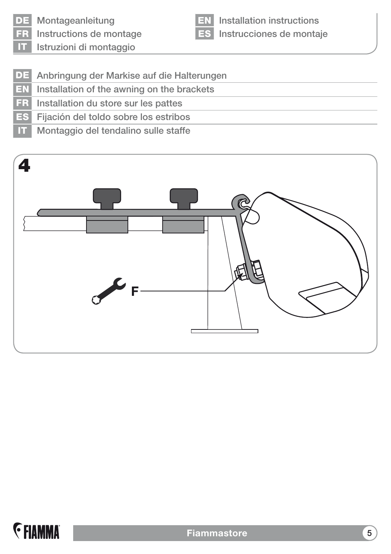

DE Montageanleitung

FR Instructions de montage IT Istruzioni di montaggio

EN Installation instructions ES Instrucciones de montaje

DE Anbringung der Markise auf die Halterungen

- EN Installation of the awning on the brackets
- FR Installation du store sur les pattes
- ES Fijación del toldo sobre los estribos
- IT Montaggio del tendalino sulle staffe



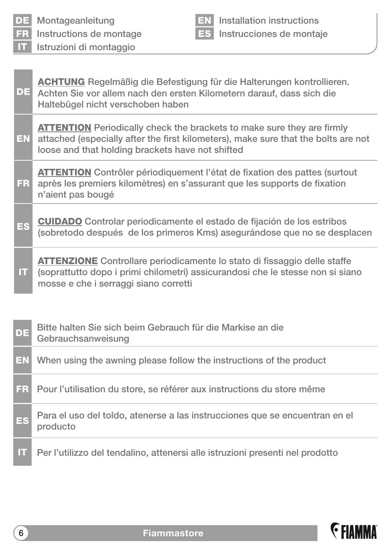| FR.       | Instructions de montage<br><b>ES</b> Instrucciones de montaje                                                                                                                                                           |
|-----------|-------------------------------------------------------------------------------------------------------------------------------------------------------------------------------------------------------------------------|
| <b>IT</b> | Istruzioni di montaggio                                                                                                                                                                                                 |
|           |                                                                                                                                                                                                                         |
| DE        | <b>ACHTUNG</b> Regelmäßig die Befestigung für die Halterungen kontrollieren.<br>Achten Sie vor allem nach den ersten Kilometern darauf, dass sich die<br>Haltebügel nicht verschoben haben                              |
| EN        | <b>ATTENTION</b> Periodically check the brackets to make sure they are firmly<br>attached (especially after the first kilometers), make sure that the bolts are not<br>loose and that holding brackets have not shifted |
| <b>FR</b> | <b>ATTENTION</b> Contrôler périodiquement l'état de fixation des pattes (surtout<br>après les premiers kilomètres) en s'assurant que les supports de fixation<br>n'aient pas bougé                                      |
| ES        | <b>CUIDADO</b> Controlar periodicamente el estado de fijación de los estribos<br>(sobretodo después de los primeros Kms) asegurándose que no se desplacen                                                               |
| П         | <b>ATTENZIONE</b> Controllare periodicamente lo stato di fissaggio delle staffe<br>(soprattutto dopo i primi chilometri) assicurandosi che le stesse non si siano<br>mosse e che i serraggi siano corretti              |
|           |                                                                                                                                                                                                                         |
| DE        | Bitte halten Sie sich beim Gebrauch für die Markise an die<br>Gebrauchsanweisung                                                                                                                                        |
| EN        | When using the awning please follow the instructions of the product                                                                                                                                                     |
| FR        | Pour l'utilisation du store, se référer aux instructions du store même                                                                                                                                                  |
| ES        | Para el uso del toldo, atenerse a las instrucciones que se encuentran en el<br>producto                                                                                                                                 |
| IT        | Per l'utilizzo del tendalino, attenersi alle istruzioni presenti nel prodotto                                                                                                                                           |

EN Installation instructions ES Instrucciones de montaje



DE Montageanleitung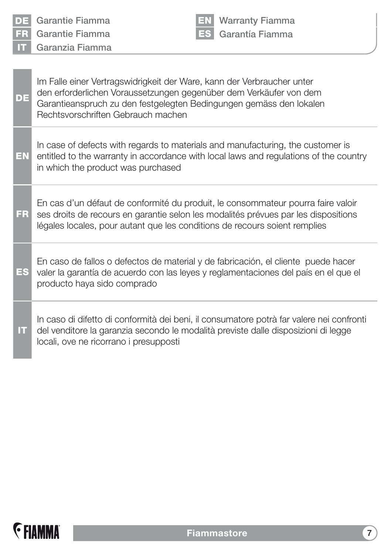| DE<br><b>FR</b><br>m | Garantie Fiamma<br><b>Warranty Fiamma</b><br>Garantía Fiamma<br>Garantie Fiamma<br>Garanzia Fiamma                                                                                                                                                        |
|----------------------|-----------------------------------------------------------------------------------------------------------------------------------------------------------------------------------------------------------------------------------------------------------|
| DE                   | Im Falle einer Vertragswidrigkeit der Ware, kann der Verbraucher unter<br>den erforderlichen Voraussetzungen gegenüber dem Verkäufer von dem<br>Garantieanspruch zu den festgelegten Bedingungen gemäss den lokalen<br>Rechtsvorschriften Gebrauch machen |
| EN                   | In case of defects with regards to materials and manufacturing, the customer is<br>entitled to the warranty in accordance with local laws and regulations of the country<br>in which the product was purchased                                            |
| FR                   | En cas d'un défaut de conformité du produit, le consommateur pourra faire valoir<br>ses droits de recours en garantie selon les modalités prévues par les dispositions<br>légales locales, pour autant que les conditions de recours soient remplies      |
| ES                   | En caso de fallos o defectos de material y de fabricación, el cliente puede hacer<br>valer la garantía de acuerdo con las leyes y reglamentaciones del país en el que el<br>producto haya sido comprado                                                   |
| П                    | In caso di difetto di conformità dei beni, il consumatore potrà far valere nei confronti<br>del venditore la garanzia secondo le modalità previste dalle disposizioni di legge<br>locali, ove ne ricorrano i presupposti                                  |